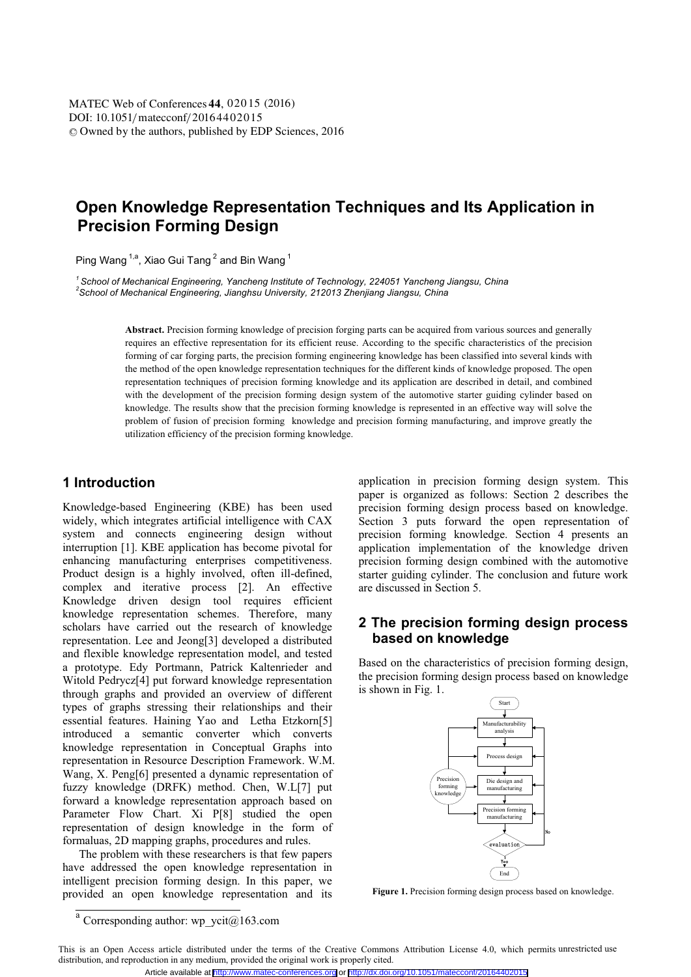# **Open Knowledge Representation Techniques and Its Application in Precision Forming Design**

Ping Wang  $1, a$ , Xiao Gui Tang  $2$  and Bin Wang  $1$ 

*1 School of Mechanical Engineering, Yancheng Institute of Technology, 224051 Yancheng Jiangsu, China 2 School of Mechanical Engineering, Jianghsu University, 212013 Zhenjiang Jiangsu, China* 

**Abstract.** Precision forming knowledge of precision forging parts can be acquired from various sources and generally requires an effective representation for its efficient reuse. According to the specific characteristics of the precision forming of car forging parts, the precision forming engineering knowledge has been classified into several kinds with the method of the open knowledge representation techniques for the different kinds of knowledge proposed. The open representation techniques of precision forming knowledge and its application are described in detail, and combined with the development of the precision forming design system of the automotive starter guiding cylinder based on knowledge. The results show that the precision forming knowledge is represented in an effective way will solve the problem of fusion of precision forming knowledge and precision forming manufacturing, and improve greatly the utilization efficiency of the precision forming knowledge.

## **1 Introduction**

Knowledge-based Engineering (KBE) has been used widely, which integrates artificial intelligence with CAX system and connects engineering design without interruption [1]. KBE application has become pivotal for enhancing manufacturing enterprises competitiveness. Product design is a highly involved, often ill-defined, complex and iterative process [2]. An effective Knowledge driven design tool requires efficient knowledge representation schemes. Therefore, many scholars have carried out the research of knowledge representation. Lee and Jeong[3] developed a distributed and flexible knowledge representation model, and tested a prototype. Edy Portmann, Patrick Kaltenrieder and Witold Pedrycz[4] put forward knowledge representation through graphs and provided an overview of different types of graphs stressing their relationships and their essential features. Haining Yao and Letha Etzkorn[5] introduced a semantic converter which converts knowledge representation in Conceptual Graphs into representation in Resource Description Framework. W.M. Wang, X. Peng[6] presented a dynamic representation of fuzzy knowledge (DRFK) method. Chen, W.L[7] put forward a knowledge representation approach based on Parameter Flow Chart. Xi P[8] studied the open representation of design knowledge in the form of formaluas, 2D mapping graphs, procedures and rules.

The problem with these researchers is that few papers have addressed the open knowledge representation in intelligent precision forming design. In this paper, we provided an open knowledge representation and its

application in precision forming design system. This paper is organized as follows: Section 2 describes the precision forming design process based on knowledge. Section 3 puts forward the open representation of precision forming knowledge. Section 4 presents an application implementation of the knowledge driven precision forming design combined with the automotive starter guiding cylinder. The conclusion and future work are discussed in Section 5.

## **2 The precision forming design process based on knowledge**

Based on the characteristics of precision forming design, the precision forming design process based on knowledge is shown in Fig. 1.



**Figure 1.** Precision forming design process based on knowledge.

Corresponding author: wp\_ycit $@163$ .com

This is an Open Access article distributed under the terms of the Creative Commons Attribution License 4.0, which permits unrestricted use distribution, and reproduction in any medium, provided the original work is properly cited.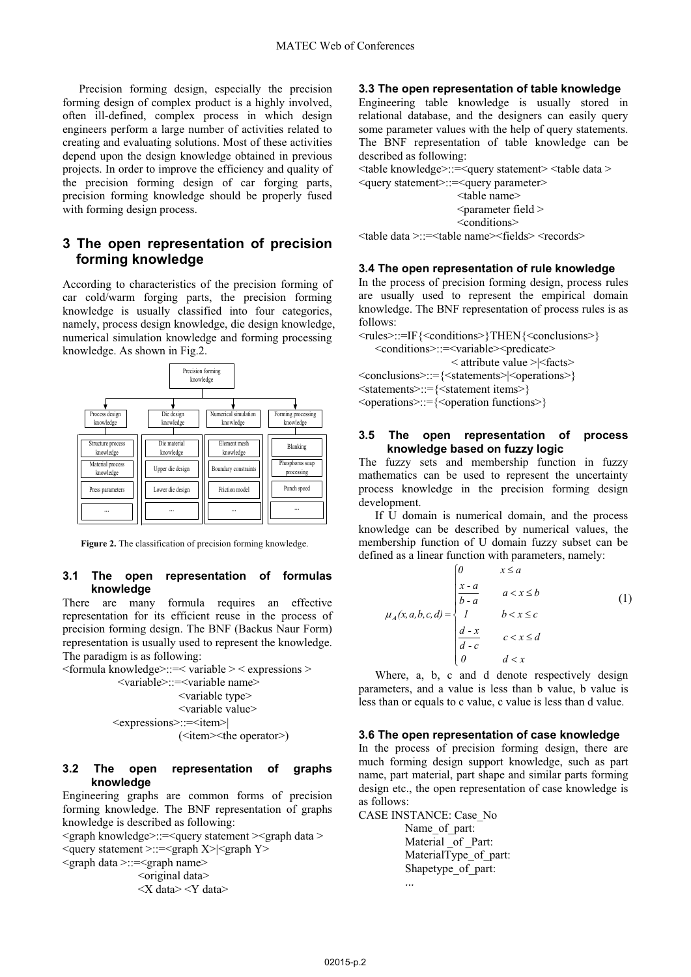Precision forming design, especially the precision forming design of complex product is a highly involved, often ill-defined, complex process in which design engineers perform a large number of activities related to creating and evaluating solutions. Most of these activities depend upon the design knowledge obtained in previous projects. In order to improve the efficiency and quality of the precision forming design of car forging parts, precision forming knowledge should be properly fused with forming design process.

## **3 The open representation of precision forming knowledge**

According to characteristics of the precision forming of car cold/warm forging parts, the precision forming knowledge is usually classified into four categories, namely, process design knowledge, die design knowledge, numerical simulation knowledge and forming processing knowledge. As shown in Fig.2.



**Figure 2.** The classification of precision forming knowledge.

#### **3.1 The open representation of formulas knowledge**

There are many formula requires an effective representation for its efficient reuse in the process of precision forming design. The BNF (Backus Naur Form) representation is usually used to represent the knowledge. The paradigm is as following:



#### **3.2 The open representation of graphs knowledge**

Engineering graphs are common forms of precision forming knowledge. The BNF representation of graphs knowledge is described as following:

<graph knowledge>::=<query statement ><graph data > <query statement >::=<graph X>|<graph Y> <graph data >::=<graph name> <original data>

## <X data> <Y data>

## **3.3 The open representation of table knowledge**

Engineering table knowledge is usually stored in relational database, and the designers can easily query some parameter values with the help of query statements. The BNF representation of table knowledge can be described as following:

<table knowledge>::=<query statement> <table data >

<query statement>::=<query parameter> <table name>

<parameter field > <conditions>

<table data >::=<table name><fields> <records>

#### **3.4 The open representation of rule knowledge**

In the process of precision forming design, process rules are usually used to represent the empirical domain knowledge. The BNF representation of process rules is as follows:

<rules>::=IF{<conditions>}THEN{<conclusions>}

<conditions>::=<variable><predicate> < attribute value >|<facts>

<conclusions>::={<statements>|<operations>}

<statements>::={<statement items>} <operations>::={<operation functions>}

#### **3.5 The open representation of process knowledge based on fuzzy logic**

The fuzzy sets and membership function in fuzzy mathematics can be used to represent the uncertainty process knowledge in the precision forming design development.

If U domain is numerical domain, and the process knowledge can be described by numerical values, the membership function of U domain fuzzy subset can be defined as a linear function with parameters, namely:

$$
\mu_A(x, a, b, c, d) = \begin{cases}\n0 & x \le a \\
\frac{x-a}{b-a} & a < x \le b \\
1 & b < x \le c \\
\frac{d-x}{d-c} & c < x \le d \\
0 & d < x\n\end{cases}
$$
\n(1)

Where, a, b, c and d denote respectively design parameters, and a value is less than b value, b value is less than or equals to c value, c value is less than d value.

#### **3.6 The open representation of case knowledge**

In the process of precision forming design, there are much forming design support knowledge, such as part name, part material, part shape and similar parts forming design etc., the open representation of case knowledge is as follows:

CASE INSTANCE: Case\_No Name\_of\_part: Material of Part: MaterialType of part: Shapetype of part:  $\ddotsc$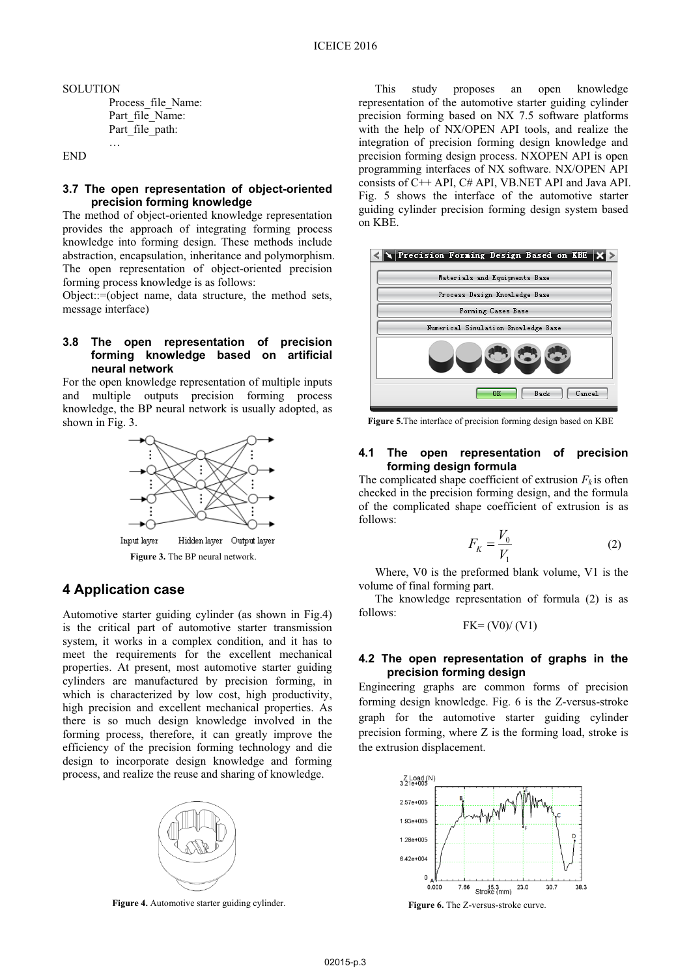**SOLUTION** Process\_file\_Name: Part file Name: Part file path:

…

END

#### **3.7 The open representation of object-oriented precision forming knowledge**

The method of object-oriented knowledge representation provides the approach of integrating forming process knowledge into forming design. These methods include abstraction, encapsulation, inheritance and polymorphism. The open representation of object-oriented precision forming process knowledge is as follows:

Object::=(object name, data structure, the method sets, message interface)

#### **3.8 The open representation of precision forming knowledge based on artificial neural network**

For the open knowledge representation of multiple inputs and multiple outputs precision forming process knowledge, the BP neural network is usually adopted, as shown in Fig. 3.



**Figure 3.** The BP neural network.

## **4 Application case**

Automotive starter guiding cylinder (as shown in Fig.4) is the critical part of automotive starter transmission system, it works in a complex condition, and it has to meet the requirements for the excellent mechanical properties. At present, most automotive starter guiding cylinders are manufactured by precision forming, in which is characterized by low cost, high productivity, high precision and excellent mechanical properties. As there is so much design knowledge involved in the forming process, therefore, it can greatly improve the efficiency of the precision forming technology and die design to incorporate design knowledge and forming process, and realize the reuse and sharing of knowledge.



**Figure 4.** Automotive starter guiding cylinder.

This study proposes an open knowledge representation of the automotive starter guiding cylinder precision forming based on NX 7.5 software platforms with the help of NX/OPEN API tools, and realize the integration of precision forming design knowledge and precision forming design process. NXOPEN API is open programming interfaces of NX software. NX/OPEN API consists of C++ API, C# API, VB.NET API and Java API. Fig. 5 shows the interface of the automotive starter guiding cylinder precision forming design system based on KBE.



**Figure 5.**The interface of precision forming design based on KBE

#### **4.1 The open representation of precision forming design formula**

The complicated shape coefficient of extrusion  $F_k$  is often checked in the precision forming design, and the formula of the complicated shape coefficient of extrusion is as follows:

$$
F_K = \frac{V_0}{V_1} \tag{2}
$$

Where, V0 is the preformed blank volume, V1 is the volume of final forming part.

The knowledge representation of formula (2) is as follows:

$$
FK = (V0) / (V1)
$$

#### **4.2 The open representation of graphs in the precision forming design**

Engineering graphs are common forms of precision forming design knowledge. Fig. 6 is the Z-versus-stroke graph for the automotive starter guiding cylinder precision forming, where Z is the forming load, stroke is the extrusion displacement.



**Figure 6.** The Z-versus-stroke curve.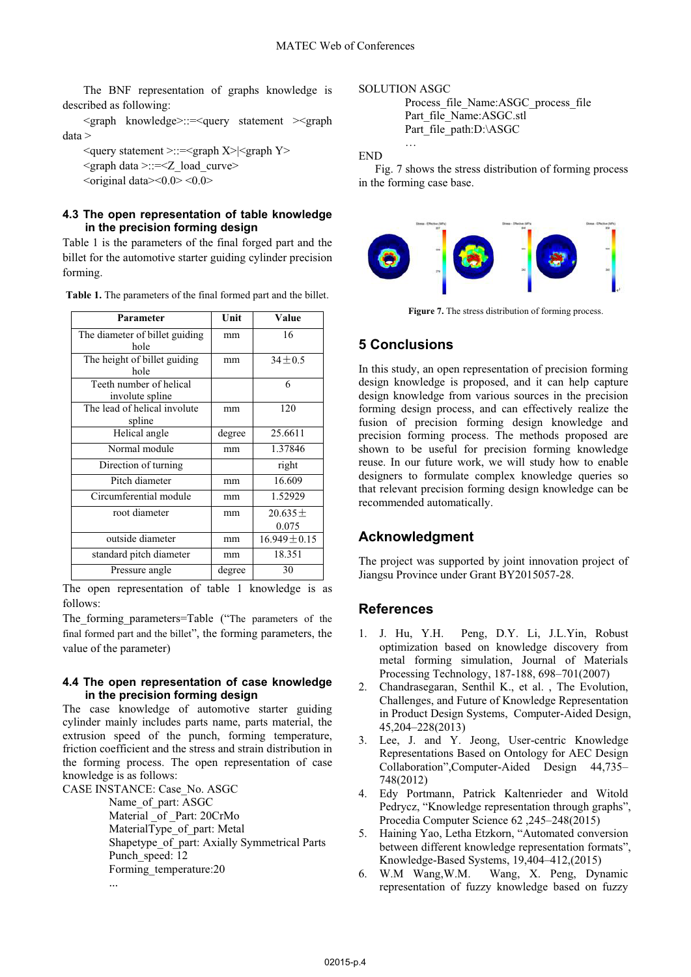The BNF representation of graphs knowledge is described as following:

<graph knowledge>::=<query statement ><graph data >

<query statement >::=<graph X>|<graph Y>  $\epsilon$  <graph data >::= $\epsilon$ Z\_load\_curve>

 $\leq$ original data $\leq$ 0.0 $\leq$ 0.0 $\leq$ 

## **4.3 The open representation of table knowledge in the precision forming design**

Table 1 is the parameters of the final forged part and the billet for the automotive starter guiding cylinder precision forming.

| Parameter                      | Unit   | Value             |
|--------------------------------|--------|-------------------|
| The diameter of billet guiding | mm     | 16                |
| hole                           |        |                   |
| The height of billet guiding   | mm     | $34 + 0.5$        |
| hole                           |        |                   |
| Teeth number of helical        |        | 6                 |
| involute spline                |        |                   |
| The lead of helical involute   | mm     | 120               |
| spline                         |        |                   |
| Helical angle                  | degree | 25.6611           |
| Normal module                  | mm     | 1.37846           |
| Direction of turning           |        | right             |
| Pitch diameter                 | mm     | 16.609            |
| Circumferential module         | mm     | 1.52929           |
| root diameter                  | mm     | $20.635 \pm$      |
|                                |        | 0.075             |
| outside diameter               | mm     | $16.949 \pm 0.15$ |
| standard pitch diameter        | mm     | 18.351            |
| Pressure angle                 | degree | 30                |

**Table 1.** The parameters of the final formed part and the billet.

The open representation of table 1 knowledge is as follows:

The forming parameters=Table ("The parameters of the final formed part and the billet", the forming parameters, the value of the parameter)

#### **4.4 The open representation of case knowledge in the precision forming design**

The case knowledge of automotive starter guiding cylinder mainly includes parts name, parts material, the extrusion speed of the punch, forming temperature, friction coefficient and the stress and strain distribution in the forming process. The open representation of case knowledge is as follows:

CASE INSTANCE: Case\_No. ASGC

Name\_of\_part: ASGC

Material \_of \_Part: 20CrMo

MaterialType\_of\_part: Metal

Shapetype\_of\_part: Axially Symmetrical Parts Punch speed: 12

Forming\_temperature:20

 $\ddotsc$ 

SOLUTION ASGC

…

Process\_file\_Name:ASGC\_process\_file Part\_file\_Name:ASGC.stl Part\_file\_path:D:\ASGC

END

Fig. 7 shows the stress distribution of forming process in the forming case base.



Figure 7. The stress distribution of forming process.

## **5 Conclusions**

In this study, an open representation of precision forming design knowledge is proposed, and it can help capture design knowledge from various sources in the precision forming design process, and can effectively realize the fusion of precision forming design knowledge and precision forming process. The methods proposed are shown to be useful for precision forming knowledge reuse. In our future work, we will study how to enable designers to formulate complex knowledge queries so that relevant precision forming design knowledge can be recommended automatically.

# **Acknowledgment**

The project was supported by joint innovation project of Jiangsu Province under Grant BY2015057-28.

# **References**

- 1. J. Hu, Y.H. Peng, D.Y. Li, J.L.Yin, Robust optimization based on knowledge discovery from metal forming simulation, Journal of Materials Processing Technology, 187-188, 698–701(2007)
- 2. Chandrasegaran, Senthil K., et al. , The Evolution, Challenges, and Future of Knowledge Representation in Product Design Systems, Computer-Aided Design, 45,204–228(2013)
- 3. Lee, J. and Y. Jeong, User-centric Knowledge Representations Based on Ontology for AEC Design Collaboration",Computer-Aided Design 44,735– 748(2012)
- 4. Edy Portmann, Patrick Kaltenrieder and Witold Pedrycz, "Knowledge representation through graphs", Procedia Computer Science 62 ,245–248(2015)
- 5. Haining Yao, Letha Etzkorn, "Automated conversion between different knowledge representation formats", Knowledge-Based Systems, 19,404–412,(2015)
- 6. W.M Wang,W.M. Wang, X. Peng, Dynamic representation of fuzzy knowledge based on fuzzy